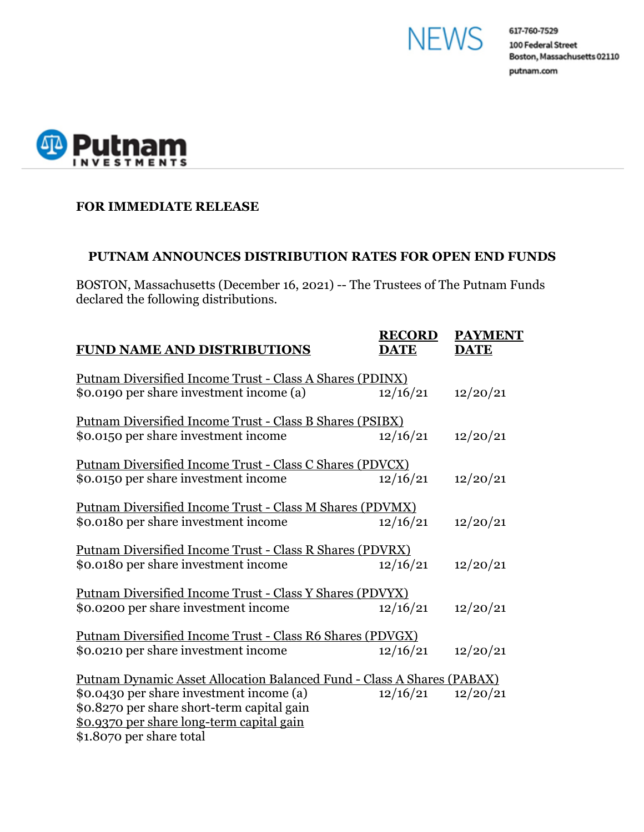



## **FOR IMMEDIATE RELEASE**

#### **PUTNAM ANNOUNCES DISTRIBUTION RATES FOR OPEN END FUNDS**

BOSTON, Massachusetts (December 16, 2021) -- The Trustees of The Putnam Funds declared the following distributions.

| <b>FUND NAME AND DISTRIBUTIONS</b>                                            | <b>RECORD</b><br><b>DATE</b> | <b>PAYMENT</b><br><b>DATE</b> |
|-------------------------------------------------------------------------------|------------------------------|-------------------------------|
| <u> Putnam Diversified Income Trust - Class A Shares (PDINX)</u>              |                              |                               |
| \$0.0190 per share investment income (a)                                      | 12/16/21                     | 12/20/21                      |
| Putnam Diversified Income Trust - Class B Shares (PSIBX)                      |                              |                               |
| \$0.0150 per share investment income                                          | 12/16/21                     | 12/20/21                      |
| Putnam Diversified Income Trust - Class C Shares (PDVCX)                      |                              |                               |
| \$0.0150 per share investment income                                          | 12/16/21                     | 12/20/21                      |
| Putnam Diversified Income Trust - Class M Shares (PDVMX)                      |                              |                               |
| \$0.0180 per share investment income                                          | 12/16/21                     | 12/20/21                      |
| Putnam Diversified Income Trust - Class R Shares (PDVRX)                      |                              |                               |
| \$0.0180 per share investment income                                          | 12/16/21                     | 12/20/21                      |
| Putnam Diversified Income Trust - Class Y Shares (PDVYX)                      |                              |                               |
| \$0.0200 per share investment income                                          | 12/16/21                     | 12/20/21                      |
| Putnam Diversified Income Trust - Class R6 Shares (PDVGX)                     |                              |                               |
| \$0.0210 per share investment income                                          | 12/16/21                     | 12/20/21                      |
| <b>Putnam Dynamic Asset Allocation Balanced Fund - Class A Shares (PABAX)</b> |                              |                               |
| \$0.0430 per share investment income (a)                                      | 12/16/21                     | 12/20/21                      |
| \$0.8270 per share short-term capital gain                                    |                              |                               |
| \$0.9370 per share long-term capital gain                                     |                              |                               |
| \$1.8070 per share total                                                      |                              |                               |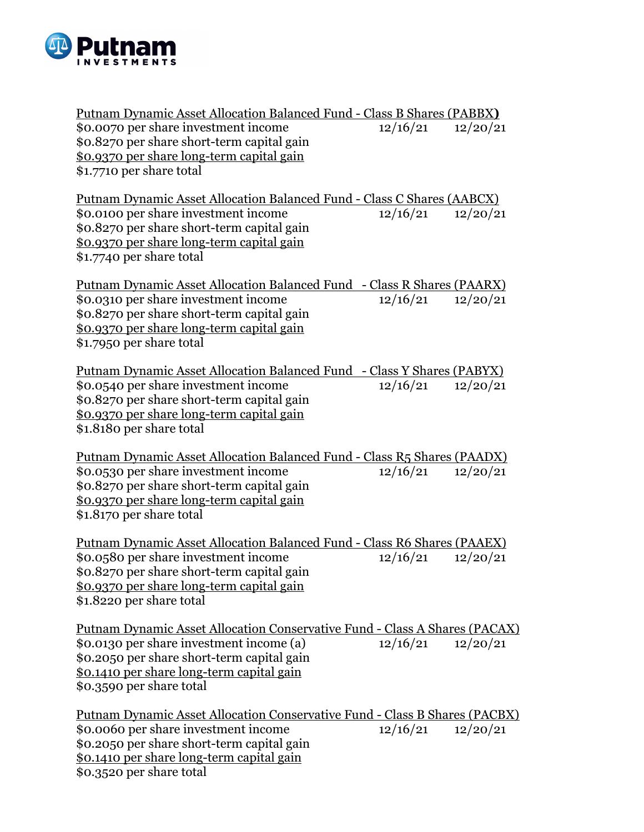

| Putnam Dynamic Asset Allocation Balanced Fund - Class B Shares (PABBX)                                                                                                                                                                            |                       |          |  |  |  |
|---------------------------------------------------------------------------------------------------------------------------------------------------------------------------------------------------------------------------------------------------|-----------------------|----------|--|--|--|
| \$0.0070 per share investment income<br>\$0.8270 per share short-term capital gain<br>\$0.9370 per share long-term capital gain<br>\$1.7710 per share total                                                                                       | 12/16/21              | 12/20/21 |  |  |  |
| <u> Putnam Dynamic Asset Allocation Balanced Fund - Class C Shares (AABCX)</u><br>\$0.0100 per share investment income<br>\$0.8270 per share short-term capital gain<br>\$0.9370 per share long-term capital gain<br>\$1.7740 per share total     | $12/16/21$ $12/20/21$ |          |  |  |  |
| <u> Putnam Dynamic Asset Allocation Balanced Fund - Class R Shares (PAARX)</u><br>\$0.0310 per share investment income<br>\$0.8270 per share short-term capital gain<br>\$0.9370 per share long-term capital gain<br>\$1.7950 per share total     | $12/16/21$ $12/20/21$ |          |  |  |  |
| <u> Putnam Dynamic Asset Allocation Balanced Fund - Class Y Shares (PABYX)</u><br>\$0.0540 per share investment income<br>\$0.8270 per share short-term capital gain<br>\$0.9370 per share long-term capital gain<br>\$1.8180 per share total     | $12/16/21$ $12/20/21$ |          |  |  |  |
| Putnam Dynamic Asset Allocation Balanced Fund - Class R5 Shares (PAADX)<br>\$0.0530 per share investment income<br>\$0.8270 per share short-term capital gain<br>\$0.9370 per share long-term capital gain<br>\$1.8170 per share total            | $12/16/21$ $12/20/21$ |          |  |  |  |
| Putnam Dynamic Asset Allocation Balanced Fund - Class R6 Shares (PAAEX)<br>\$0.0580 per share investment income<br>\$0.8270 per share short-term capital gain<br>\$0.9370 per share long-term capital gain<br>\$1.8220 per share total            | 12/16/21              | 12/20/21 |  |  |  |
| Putnam Dynamic Asset Allocation Conservative Fund - Class A Shares (PACAX)<br>\$0.0130 per share investment income (a)<br>\$0.2050 per share short-term capital gain<br>\$0.1410 per share long-term capital gain<br>\$0.3590 per share total     | $12/16/21$ $12/20/21$ |          |  |  |  |
| <u> Putnam Dynamic Asset Allocation Conservative Fund - Class B Shares (PACBX)</u><br>\$0.0060 per share investment income<br>\$0.2050 per share short-term capital gain<br>\$0.1410 per share long-term capital gain<br>\$0.3520 per share total | $12/16/21$ $12/20/21$ |          |  |  |  |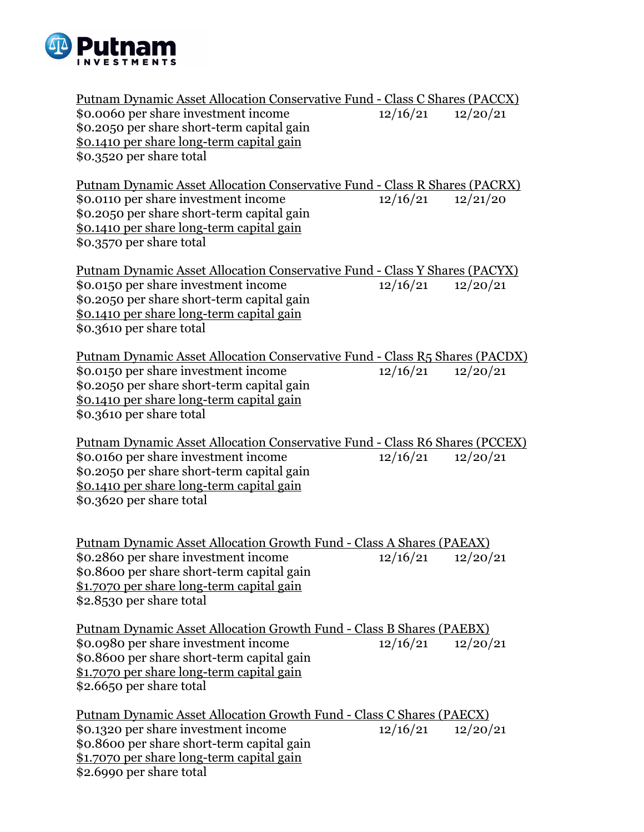

Putnam Dynamic Asset Allocation Conservative Fund - Class C Shares (PACCX)<br>\$0.0060 per share investment income  $12/16/21$   $12/20/21$ \$0.0060 per share investment income 12/16/21 12/20/21 \$0.2050 per share short-term capital gain \$0.1410 per share long-term capital gain \$0.3520 per share total Putnam Dynamic Asset Allocation Conservative Fund - Class R Shares (PACRX) \$0.0110 per share investment income  $12/16/21$   $12/21/20$ \$0.2050 per share short-term capital gain \$0.1410 per share long-term capital gain \$0.3570 per share total Putnam Dynamic Asset Allocation Conservative Fund - Class Y Shares (PACYX) \$0.0150 per share investment income  $12/16/21$   $12/20/21$ \$0.2050 per share short-term capital gain \$0.1410 per share long-term capital gain \$0.3610 per share total Putnam Dynamic Asset Allocation Conservative Fund - Class R5 Shares (PACDX) \$0.0150 per share investment income 12/16/21 12/20/21 \$0.2050 per share short-term capital gain \$0.1410 per share long-term capital gain \$0.3610 per share total Putnam Dynamic Asset Allocation Conservative Fund - Class R6 Shares (PCCEX) \$0.0160 per share investment income 12/16/21 12/20/21 \$0.2050 per share short-term capital gain \$0.1410 per share long-term capital gain \$0.3620 per share total Putnam Dynamic Asset Allocation Growth Fund - Class A Shares (PAEAX) \$0.2860 per share investment income 12/16/21 12/20/21 \$0.8600 per share short-term capital gain \$1.7070 per share long-term capital gain \$2.8530 per share total Putnam Dynamic Asset Allocation Growth Fund - Class B Shares (PAEBX) \$0.0980 per share investment income 12/16/21 12/20/21 \$0.8600 per share short-term capital gain \$1.7070 per share long-term capital gain \$2.6650 per share total Putnam Dynamic Asset Allocation Growth Fund - Class C Shares (PAECX) \$0.1320 per share investment income 12/16/21 12/20/21 \$0.8600 per share short-term capital gain \$1.7070 per share long-term capital gain

\$2.6990 per share total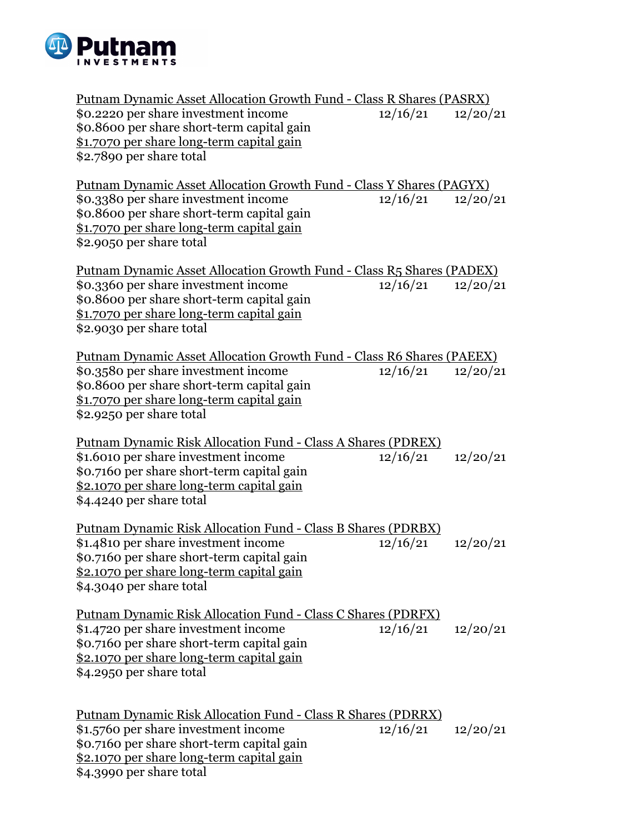

| <u> Putnam Dynamic Asset Allocation Growth Fund - Class R Shares (PASRX)</u>                                                                                                                                                       |          |          |
|------------------------------------------------------------------------------------------------------------------------------------------------------------------------------------------------------------------------------------|----------|----------|
| \$0.2220 per share investment income<br>\$0.8600 per share short-term capital gain<br>\$1.7070 per share long-term capital gain<br>\$2.7890 per share total                                                                        | 12/16/21 | 12/20/21 |
| <u> Putnam Dynamic Asset Allocation Growth Fund - Class Y Shares (PAGYX)</u>                                                                                                                                                       |          |          |
| \$0.3380 per share investment income<br>\$0.8600 per share short-term capital gain<br>\$1.7070 per share long-term capital gain<br>\$2.9050 per share total                                                                        | 12/16/21 | 12/20/21 |
| <u> Putnam Dynamic Asset Allocation Growth Fund - Class R5 Shares (PADEX)</u>                                                                                                                                                      |          |          |
| \$0.3360 per share investment income<br>\$0.8600 per share short-term capital gain<br>\$1.7070 per share long-term capital gain<br>\$2.9030 per share total                                                                        | 12/16/21 | 12/20/21 |
| <b>Putnam Dynamic Asset Allocation Growth Fund - Class R6 Shares (PAEEX)</b>                                                                                                                                                       |          |          |
| \$0.3580 per share investment income<br>\$0.8600 per share short-term capital gain<br>\$1.7070 per share long-term capital gain<br>\$2.9250 per share total                                                                        | 12/16/21 | 12/20/21 |
|                                                                                                                                                                                                                                    |          |          |
| <b>Putnam Dynamic Risk Allocation Fund - Class A Shares (PDREX)</b><br>\$1.6010 per share investment income<br>\$0.7160 per share short-term capital gain<br>\$2.1070 per share long-term capital gain<br>\$4.4240 per share total | 12/16/21 | 12/20/21 |
|                                                                                                                                                                                                                                    |          |          |
| <b>Putnam Dynamic Risk Allocation Fund - Class B Shares (PDRBX)</b><br>\$1.4810 per share investment income<br>\$0.7160 per share short-term capital gain<br>\$2.1070 per share long-term capital gain<br>\$4.3040 per share total | 12/16/21 | 12/20/21 |
| <b>Putnam Dynamic Risk Allocation Fund - Class C Shares (PDRFX)</b><br>\$1.4720 per share investment income<br>\$0.7160 per share short-term capital gain                                                                          | 12/16/21 | 12/20/21 |
| \$2.1070 per share long-term capital gain<br>\$4.2950 per share total                                                                                                                                                              |          |          |
| <u> Putnam Dynamic Risk Allocation Fund - Class R Shares (PDRRX)</u>                                                                                                                                                               |          |          |
| \$1.5760 per share investment income                                                                                                                                                                                               | 12/16/21 | 12/20/21 |
| \$0.7160 per share short-term capital gain                                                                                                                                                                                         |          |          |

\$2.1070 per share long-term capital gain \$4.3990 per share total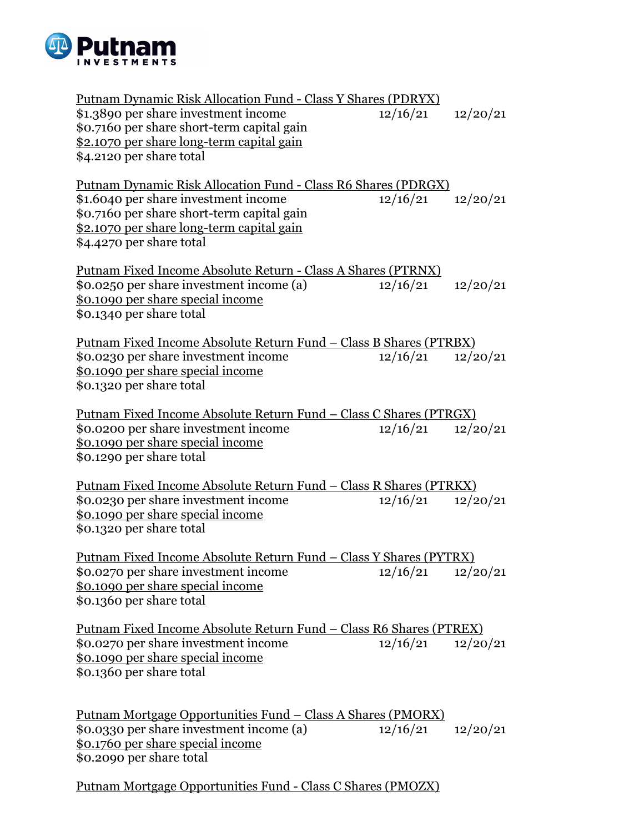

Putnam Dynamic Risk Allocation Fund - Class Y Shares (PDRYX) \$1.3890 per share investment income 12/16/21 12/20/21 \$0.7160 per share short-term capital gain \$2.1070 per share long-term capital gain \$4.2120 per share total Putnam Dynamic Risk Allocation Fund - Class R6 Shares (PDRGX) \$1.6040 per share investment income 12/16/21 12/20/21 \$0.7160 per share short-term capital gain \$2.1070 per share long-term capital gain \$4.4270 per share total Putnam Fixed Income Absolute Return - Class A Shares (PTRNX) \$0.0250 per share investment income (a) 12/16/21 12/20/21 \$0.1090 per share special income \$0.1340 per share total Putnam Fixed Income Absolute Return Fund – Class B Shares (PTRBX) \$0.0230 per share investment income 12/16/21 12/20/21 \$0.1090 per share special income \$0.1320 per share total Putnam Fixed Income Absolute Return Fund – Class C Shares (PTRGX) \$0.0200 per share investment income 12/16/21 12/20/21 \$0.1090 per share special income \$0.1290 per share total Putnam Fixed Income Absolute Return Fund – Class R Shares (PTRKX) \$0.0230 per share investment income 12/16/21 12/20/21 \$0.1090 per share special income \$0.1320 per share total Putnam Fixed Income Absolute Return Fund – Class Y Shares (PYTRX) \$0.0270 per share investment income 12/16/21 12/20/21 \$0.1090 per share special income \$0.1360 per share total Putnam Fixed Income Absolute Return Fund – Class R6 Shares (PTREX) \$0.0270 per share investment income  $12/16/21$   $12/20/21$ \$0.1090 per share special income \$0.1360 per share total Putnam Mortgage Opportunities Fund – Class A Shares (PMORX) \$0.0330 per share investment income (a) 12/16/21 12/20/21 \$0.1760 per share special income \$0.2090 per share total

Putnam Mortgage Opportunities Fund - Class C Shares (PMOZX)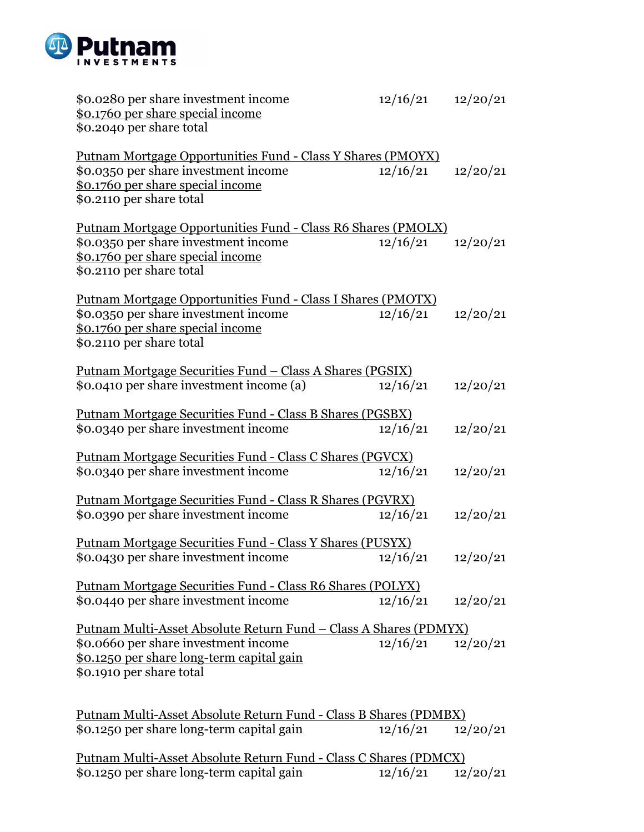

| \$0.0280 per share investment income<br>\$0.1760 per share special income<br>\$0.2040 per share total                                                                                     | 12/16/21              | 12/20/21 |  |  |
|-------------------------------------------------------------------------------------------------------------------------------------------------------------------------------------------|-----------------------|----------|--|--|
| Putnam Mortgage Opportunities Fund - Class Y Shares (PMOYX)<br>\$0.0350 per share investment income<br>\$0.1760 per share special income<br>\$0.2110 per share total                      | 12/16/21              | 12/20/21 |  |  |
| Putnam Mortgage Opportunities Fund - Class R6 Shares (PMOLX)<br>\$0.0350 per share investment income<br>\$0.1760 per share special income<br>\$0.2110 per share total                     | 12/16/21              | 12/20/21 |  |  |
| Putnam Mortgage Opportunities Fund - Class I Shares (PMOTX)<br>\$0.0350 per share investment income<br>\$0.1760 per share special income<br>\$0.2110 per share total                      | 12/16/21              | 12/20/21 |  |  |
| <u> Putnam Mortgage Securities Fund – Class A Shares (PGSIX)</u>                                                                                                                          |                       |          |  |  |
| \$0.0410 per share investment income (a)                                                                                                                                                  | 12/16/21              | 12/20/21 |  |  |
| Putnam Mortgage Securities Fund - Class B Shares (PGSBX)                                                                                                                                  |                       |          |  |  |
| \$0.0340 per share investment income                                                                                                                                                      | 12/16/21              | 12/20/21 |  |  |
|                                                                                                                                                                                           |                       |          |  |  |
| Putnam Mortgage Securities Fund - Class C Shares (PGVCX)<br>\$0.0340 per share investment income                                                                                          | 12/16/21              | 12/20/21 |  |  |
|                                                                                                                                                                                           |                       |          |  |  |
| Putnam Mortgage Securities Fund - Class R Shares (PGVRX)                                                                                                                                  |                       |          |  |  |
| \$0.0390 per share investment income                                                                                                                                                      | 12/16/21              | 12/20/21 |  |  |
| <u> Putnam Mortgage Securities Fund - Class Y Shares (PUSYX)</u>                                                                                                                          |                       |          |  |  |
| \$0.0430 per share investment income<br>12/16/21                                                                                                                                          |                       | 12/20/21 |  |  |
| Putnam Mortgage Securities Fund - Class R6 Shares (POLYX)                                                                                                                                 |                       |          |  |  |
| \$0.0440 per share investment income                                                                                                                                                      | $12/16/21$ $12/20/21$ |          |  |  |
| <u> Putnam Multi-Asset Absolute Return Fund – Class A Shares (PDMYX)</u><br>\$0.0660 per share investment income<br>\$0.1250 per share long-term capital gain<br>\$0.1910 per share total | $12/16/21$ $12/20/21$ |          |  |  |
| Putnam Multi-Asset Absolute Return Fund - Class B Shares (PDMBX)<br>\$0.1250 per share long-term capital gain                                                                             | $12/16/21$ $12/20/21$ |          |  |  |

Putnam Multi-Asset Absolute Return Fund - Class C Shares (PDMCX) \$0.1250 per share long-term capital gain 12/16/21 12/20/21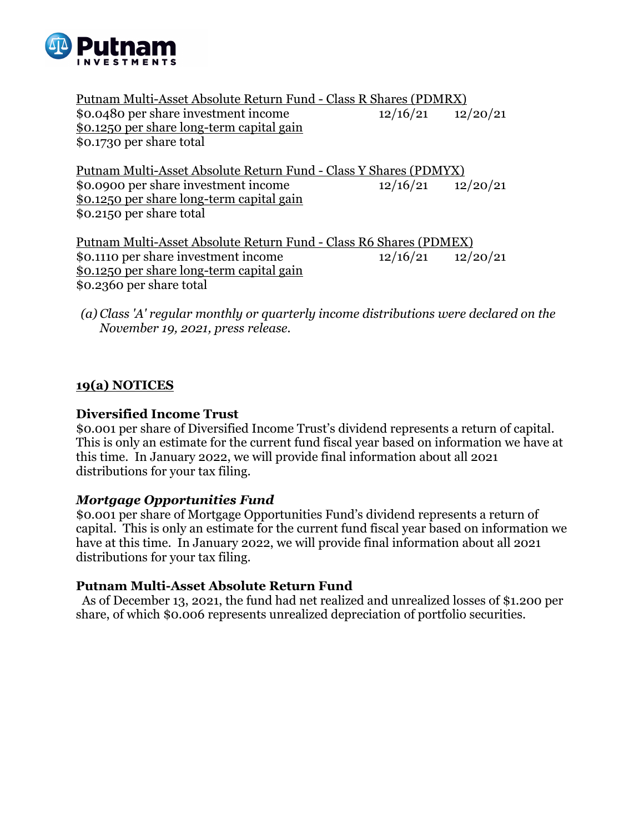

Putnam Multi-Asset Absolute Return Fund - Class R Shares (PDMRX) \$0.0480 per share investment income 12/16/21 12/20/21 \$0.1250 per share long-term capital gain \$0.1730 per share total

Putnam Multi-Asset Absolute Return Fund - Class Y Shares (PDMYX) \$0.0900 per share investment income 12/16/21 12/20/21 \$0.1250 per share long-term capital gain \$0.2150 per share total

Putnam Multi-Asset Absolute Return Fund - Class R6 Shares (PDMEX) \$0.1110 per share investment income  $\frac{12}{16/21}$  12/20/21 \$0.1250 per share long-term capital gain \$0.2360 per share total

*(a) Class 'A' regular monthly or quarterly income distributions were declared on the November 19, 2021, press release.* 

# **19(a) NOTICES**

## **Diversified Income Trust**

\$0.001 per share of Diversified Income Trust's dividend represents a return of capital. This is only an estimate for the current fund fiscal year based on information we have at this time. In January 2022, we will provide final information about all 2021 distributions for your tax filing.

## *Mortgage Opportunities Fund*

\$0.001 per share of Mortgage Opportunities Fund's dividend represents a return of capital. This is only an estimate for the current fund fiscal year based on information we have at this time. In January 2022, we will provide final information about all 2021 distributions for your tax filing.

#### **Putnam Multi-Asset Absolute Return Fund**

 As of December 13, 2021, the fund had net realized and unrealized losses of \$1.200 per share, of which \$0.006 represents unrealized depreciation of portfolio securities.